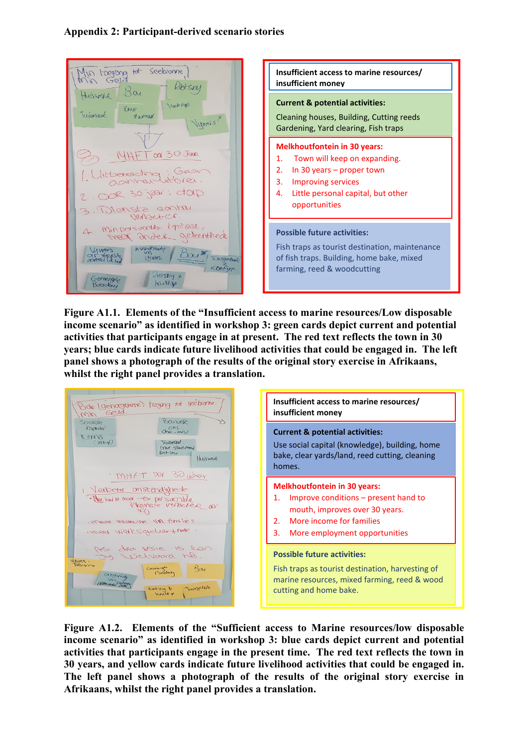## **Appendix 2: Participant-derived scenario stories**

| lin toegong tot seebronne,                                                                                                                                                          | Insufficient access to marine resources/<br>insufficient money                                                                                                                                 |
|-------------------------------------------------------------------------------------------------------------------------------------------------------------------------------------|------------------------------------------------------------------------------------------------------------------------------------------------------------------------------------------------|
| Huiswerk Boy<br>Hout top<br>Erve<br>Tuinnage<br>gamax<br>Vywers                                                                                                                     | <b>Current &amp; potential activities:</b><br>Cleaning houses, Building, Cutting reeds<br>Gardening, Yard clearing, Fish traps                                                                 |
| MHFT OOD JAR<br>Ulitbereiding: Gaon<br>2. OOR 30 jaar: dop<br>3. Vienste gantau<br>Verbact Cr.                                                                                      | <b>Melkhoutfontein in 30 years:</b><br>Town will keep on expanding.<br>In 30 years $-$ proper town<br>2.<br>3. Improving services<br>Little personal capital, but other<br>4.<br>opportunities |
| 4. Minpersoonle Kepitaal,<br>mear ander geleenthede<br>Instandtrandy<br>Livers<br>as trensly<br>Univers.<br>Tuisgebyt<br>Konfox<br>$k$ retsing +<br>Gemenalo<br>kutzas<br>Beercheen | <b>Possible future activities:</b><br>Fish traps as tourist destination, maintenance<br>of fish traps. Building, home bake, mixed<br>farming, reed & woodcutting                               |

**Figure A1.1. Elements of the "Insufficient access to marine resources/Low disposable income scenario" as identified in workshop 3: green cards depict current and potential activities that participants engage in at present. The red text reflects the town in 30 years; blue cards indicate future livelihood activities that could be engaged in. The left panel shows a photograph of the results of the original story exercise in Afrikaans, whilst the right panel provides a translation.** 

| Boie (genoegrame) treging tot seeborne.<br>Min Geld.<br>Bounek                                                                        | Insufficient access to marine resources/<br>insufficient money                                                                                                                          |
|---------------------------------------------------------------------------------------------------------------------------------------|-----------------------------------------------------------------------------------------------------------------------------------------------------------------------------------------|
| Sosiale<br>Kaptaal<br>ens<br>$(mn-mn)$<br>2008<br>$($ vernuts)<br>Twomar .<br>Erne staring<br>Richsmy<br>Huisnek<br>MHFT DOV 30 18:00 | <b>Current &amp; potential activities:</b><br>Use social capital (knowledge), building, home<br>bake, clear yards/land, reed cutting, cleaning<br>homes.                                |
| 1. Verbete onstandighede:<br>· Now have mone - to personalike<br>Meet hiemse via families<br>· mer werksgehert nok.                   | <b>Melkhoutfontein in 30 years:</b><br>Improve conditions – present hand to<br>mouth, improves over 30 years.<br>More income for families<br>2.1<br>More employment opportunities<br>3. |
| As dear visie is ken<br>welvaard he.<br>Unres<br>pergno<br>$B\alpha$<br>Generales<br>Ontgun<br>Twispetalk<br>Detery &<br>houte of     | <b>Possible future activities:</b><br>Fish traps as tourist destination, harvesting of<br>marine resources, mixed farming, reed & wood<br>cutting and home bake.                        |

**Figure A1.2. Elements of the "Sufficient access to Marine resources/low disposable income scenario" as identified in workshop 3: blue cards depict current and potential activities that participants engage in the present time. The red text reflects the town in 30 years, and yellow cards indicate future livelihood activities that could be engaged in. The left panel shows a photograph of the results of the original story exercise in Afrikaans, whilst the right panel provides a translation.**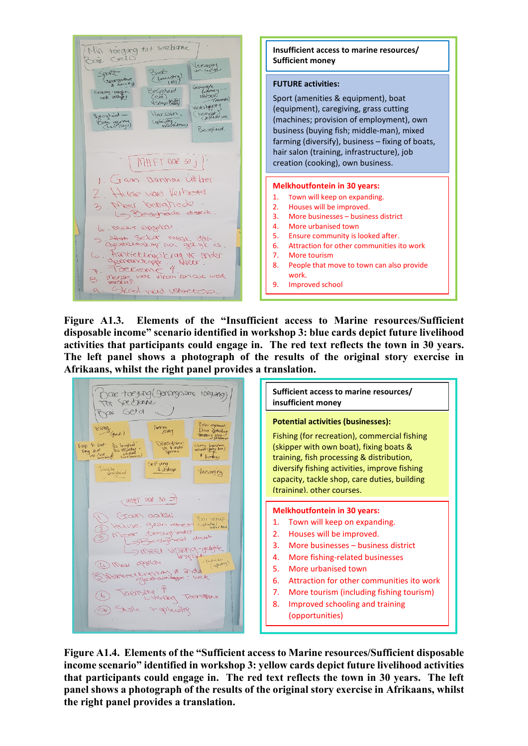

**Figure A1.3. Elements of the "Insufficient access to Marine resources/Sufficient disposable income" scenario identified in workshop 3: blue cards depict future livelihood activities that participants could engage in. The red text reflects the town in 30 years. The left panel shows a photograph of the results of the original story exercise in Afrikaans, whilst the right panel provides a translation.** 

| aie toegangl genoegsame toegang<br>see tranne<br>$\left(\nabla P\right)$ d                                                                                                                                                                                                                                                          | Sufficient access to marine resources/<br>insufficient money                                                                                                                                                                                                                                                                                                                              |
|-------------------------------------------------------------------------------------------------------------------------------------------------------------------------------------------------------------------------------------------------------------------------------------------------------------------------------------|-------------------------------------------------------------------------------------------------------------------------------------------------------------------------------------------------------------------------------------------------------------------------------------------------------------------------------------------------------------------------------------------|
| Dole regiment<br>what<br>ben providing<br>.∧cv~r<br>-d(gent)<br>Messfiser<br>Vis besolute<br>Yago & boot<br>Visitory Expansion<br><b>Vik &amp; groter</b><br>vestated (Beles bot)<br>UIS VELUCIEVA<br>lang<br>$D$ <i>ougers</i><br>Selfung<br>active<br><b>b</b> <i>Elap</i><br>Versorging<br>lopsic held<br>$mHT$ 000 30 $\supset$ | <b>Potential activities (businesses):</b><br>Fishing (for recreation), commercial fishing<br>(skipper with own boat), fixing boats &<br>training, fish processing & distribution,<br>diversify fishing activities, improve fishing<br>capacity, tackle shop, care duties, building<br>(training). other courses.                                                                          |
| JOAN aalan.<br>France coc?<br>Copleiding I have<br>gaan verbet<br>1991<br>Kursse<br>oxeding?<br>Dole + pleasing                                                                                                                                                                                                                     | <b>Melkhoutfontein in 30 years:</b><br>Town will keep on expanding.<br>Houses will be improved.<br>2.<br>More businesses – business district<br>3.<br>More fishing-related businesses<br>4.<br>More urbanised town<br>5.<br>Attraction for other communities ito work<br>6.<br>7.<br>More tourism (including fishing tourism)<br>Improved schooling and training<br>8.<br>(opportunities) |

**Figure A1.4. Elements of the "Sufficient access to Marine resources/Sufficient disposable income scenario" identified in workshop 3: yellow cards depict future livelihood activities that participants could engage in. The red text reflects the town in 30 years. The left panel shows a photograph of the results of the original story exercise in Afrikaans, whilst the right panel provides a translation.**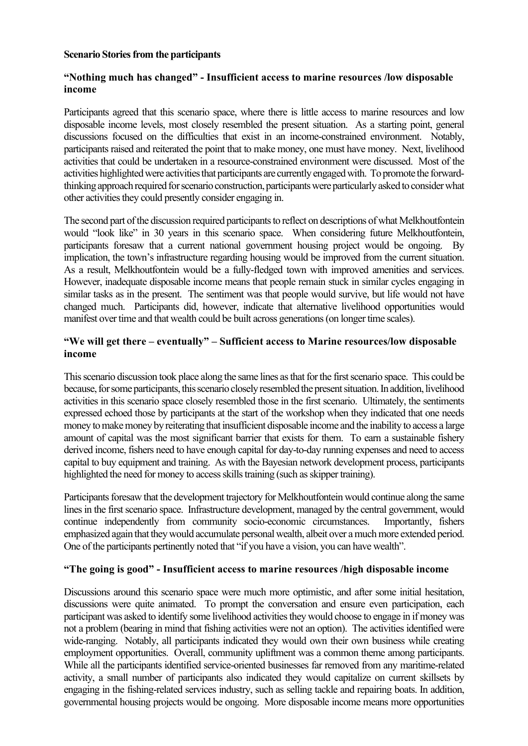#### **Scenario Stories from the participants**

## **"Nothing much has changed" - Insufficient access to marine resources /low disposable income**

Participants agreed that this scenario space, where there is little access to marine resources and low disposable income levels, most closely resembled the present situation. As a starting point, general discussions focused on the difficulties that exist in an income-constrained environment. Notably, participants raised and reiterated the point that to make money, one must have money. Next, livelihood activities that could be undertaken in a resource-constrained environment were discussed. Most of the activities highlighted were activities that participants are currently engaged with. To promote the forwardthinking approach required for scenario construction, participants were particularly asked to consider what other activities they could presently consider engaging in.

The second part of the discussion required participants to reflect on descriptions of what Melkhoutfontein would "look like" in 30 years in this scenario space. When considering future Melkhoutfontein, participants foresaw that a current national government housing project would be ongoing. By implication, the town's infrastructure regarding housing would be improved from the current situation. As a result, Melkhoutfontein would be a fully-fledged town with improved amenities and services. However, inadequate disposable income means that people remain stuck in similar cycles engaging in similar tasks as in the present. The sentiment was that people would survive, but life would not have changed much. Participants did, however, indicate that alternative livelihood opportunities would manifest over time and that wealth could be built across generations (on longer time scales).

# **"We will get there – eventually" – Sufficient access to Marine resources/low disposable income**

This scenario discussion took place along the same lines asthat for the first scenario space. This could be because, for some participants, this scenario closely resembled the present situation. In addition, livelihood activities in this scenario space closely resembled those in the first scenario. Ultimately, the sentiments expressed echoed those by participants at the start of the workshop when they indicated that one needs money to make money by reiterating that insufficient disposable income and the inability to access a large amount of capital was the most significant barrier that exists for them. To earn a sustainable fishery derived income, fishers need to have enough capital for day-to-day running expenses and need to access capital to buy equipment and training. As with the Bayesian network development process, participants highlighted the need for money to access skills training (such as skipper training).

Participants foresaw that the development trajectory for Melkhoutfontein would continue along the same lines in the first scenario space. Infrastructure development, managed by the central government, would continue independently from community socio-economic circumstances. Importantly, fishers emphasized again that they would accumulate personal wealth, albeit over a much more extended period. One of the participants pertinently noted that "if you have a vision, you can have wealth".

### **"The going is good" - Insufficient access to marine resources /high disposable income**

Discussions around this scenario space were much more optimistic, and after some initial hesitation, discussions were quite animated. To prompt the conversation and ensure even participation, each participant was asked to identify some livelihood activities they would choose to engage in if money was not a problem (bearing in mind that fishing activities were not an option). The activities identified were wide-ranging. Notably, all participants indicated they would own their own business while creating employment opportunities. Overall, community upliftment was a common theme among participants. While all the participants identified service-oriented businesses far removed from any maritime-related activity, a small number of participants also indicated they would capitalize on current skillsets by engaging in the fishing-related services industry, such as selling tackle and repairing boats. In addition, governmental housing projects would be ongoing. More disposable income means more opportunities